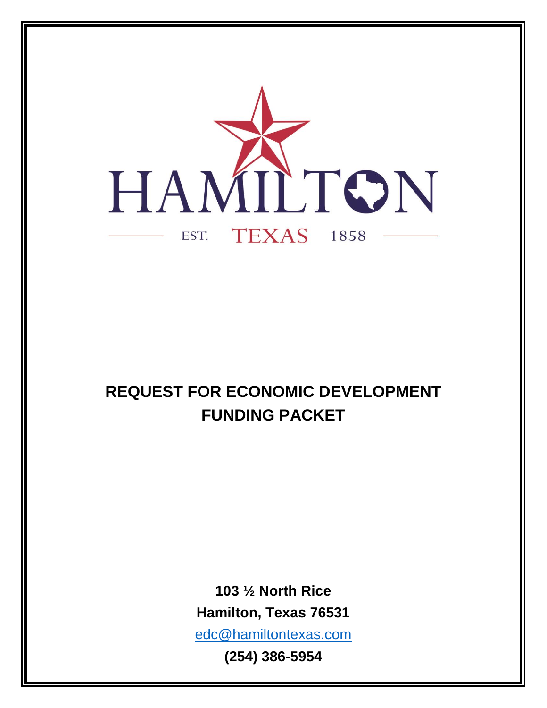

# **REQUEST FOR ECONOMIC DEVELOPMENT FUNDING PACKET**

**103 ½ North Rice Hamilton, Texas 76531** [edc@hamiltontexas.com](mailto:edc@hamiltontexas.com) **(254) 386-5954**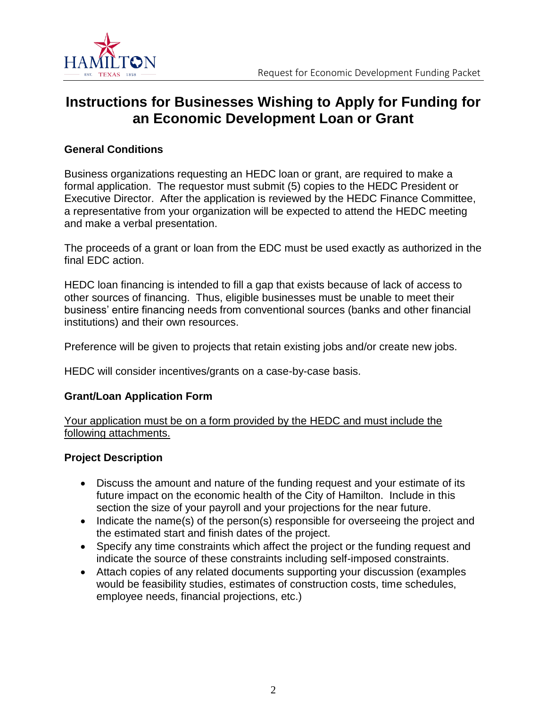

### **Instructions for Businesses Wishing to Apply for Funding for an Economic Development Loan or Grant**

#### **General Conditions**

Business organizations requesting an HEDC loan or grant, are required to make a formal application. The requestor must submit (5) copies to the HEDC President or Executive Director. After the application is reviewed by the HEDC Finance Committee, a representative from your organization will be expected to attend the HEDC meeting and make a verbal presentation.

The proceeds of a grant or loan from the EDC must be used exactly as authorized in the final EDC action.

HEDC loan financing is intended to fill a gap that exists because of lack of access to other sources of financing. Thus, eligible businesses must be unable to meet their business' entire financing needs from conventional sources (banks and other financial institutions) and their own resources.

Preference will be given to projects that retain existing jobs and/or create new jobs.

HEDC will consider incentives/grants on a case-by-case basis.

#### **Grant/Loan Application Form**

Your application must be on a form provided by the HEDC and must include the following attachments.

#### **Project Description**

- Discuss the amount and nature of the funding request and your estimate of its future impact on the economic health of the City of Hamilton. Include in this section the size of your payroll and your projections for the near future.
- Indicate the name(s) of the person(s) responsible for overseeing the project and the estimated start and finish dates of the project.
- Specify any time constraints which affect the project or the funding request and indicate the source of these constraints including self-imposed constraints.
- Attach copies of any related documents supporting your discussion (examples would be feasibility studies, estimates of construction costs, time schedules, employee needs, financial projections, etc.)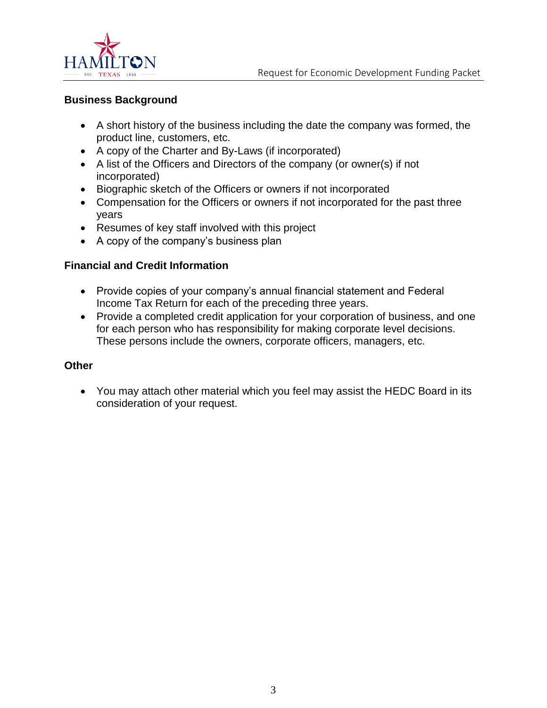

#### **Business Background**

- A short history of the business including the date the company was formed, the product line, customers, etc.
- A copy of the Charter and By-Laws (if incorporated)
- A list of the Officers and Directors of the company (or owner(s) if not incorporated)
- Biographic sketch of the Officers or owners if not incorporated
- Compensation for the Officers or owners if not incorporated for the past three years
- Resumes of key staff involved with this project
- A copy of the company's business plan

#### **Financial and Credit Information**

- Provide copies of your company's annual financial statement and Federal Income Tax Return for each of the preceding three years.
- Provide a completed credit application for your corporation of business, and one for each person who has responsibility for making corporate level decisions. These persons include the owners, corporate officers, managers, etc.

#### **Other**

• You may attach other material which you feel may assist the HEDC Board in its consideration of your request.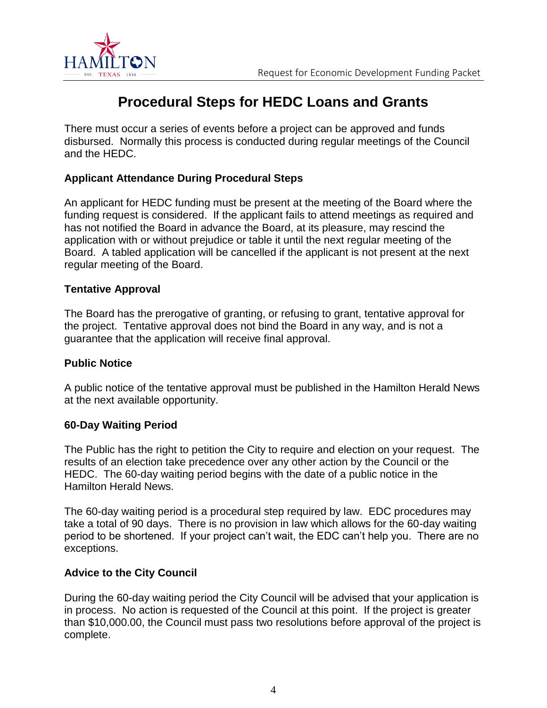

### **Procedural Steps for HEDC Loans and Grants**

There must occur a series of events before a project can be approved and funds disbursed. Normally this process is conducted during regular meetings of the Council and the HEDC.

#### **Applicant Attendance During Procedural Steps**

An applicant for HEDC funding must be present at the meeting of the Board where the funding request is considered. If the applicant fails to attend meetings as required and has not notified the Board in advance the Board, at its pleasure, may rescind the application with or without prejudice or table it until the next regular meeting of the Board. A tabled application will be cancelled if the applicant is not present at the next regular meeting of the Board.

#### **Tentative Approval**

The Board has the prerogative of granting, or refusing to grant, tentative approval for the project. Tentative approval does not bind the Board in any way, and is not a guarantee that the application will receive final approval.

#### **Public Notice**

A public notice of the tentative approval must be published in the Hamilton Herald News at the next available opportunity.

#### **60-Day Waiting Period**

The Public has the right to petition the City to require and election on your request. The results of an election take precedence over any other action by the Council or the HEDC. The 60-day waiting period begins with the date of a public notice in the Hamilton Herald News.

The 60-day waiting period is a procedural step required by law. EDC procedures may take a total of 90 days. There is no provision in law which allows for the 60-day waiting period to be shortened. If your project can't wait, the EDC can't help you. There are no exceptions.

#### **Advice to the City Council**

During the 60-day waiting period the City Council will be advised that your application is in process. No action is requested of the Council at this point. If the project is greater than \$10,000.00, the Council must pass two resolutions before approval of the project is complete.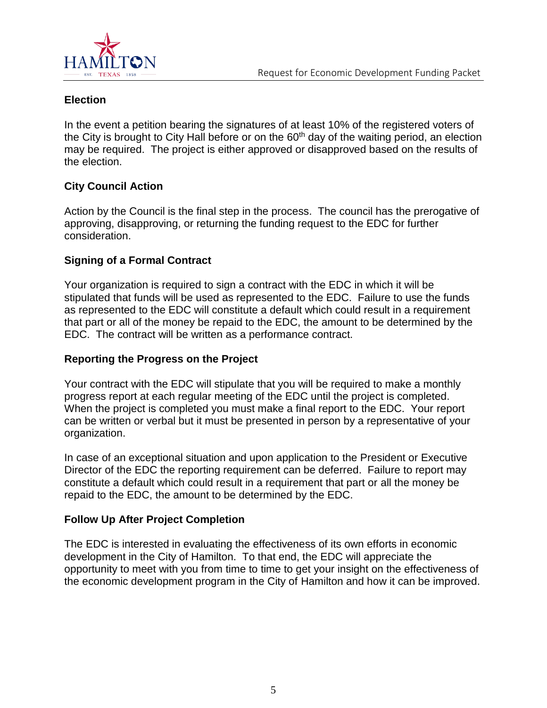

#### **Election**

In the event a petition bearing the signatures of at least 10% of the registered voters of the City is brought to City Hall before or on the  $60<sup>th</sup>$  day of the waiting period, an election may be required. The project is either approved or disapproved based on the results of the election.

#### **City Council Action**

Action by the Council is the final step in the process. The council has the prerogative of approving, disapproving, or returning the funding request to the EDC for further consideration.

#### **Signing of a Formal Contract**

Your organization is required to sign a contract with the EDC in which it will be stipulated that funds will be used as represented to the EDC. Failure to use the funds as represented to the EDC will constitute a default which could result in a requirement that part or all of the money be repaid to the EDC, the amount to be determined by the EDC. The contract will be written as a performance contract.

#### **Reporting the Progress on the Project**

Your contract with the EDC will stipulate that you will be required to make a monthly progress report at each regular meeting of the EDC until the project is completed. When the project is completed you must make a final report to the EDC. Your report can be written or verbal but it must be presented in person by a representative of your organization.

In case of an exceptional situation and upon application to the President or Executive Director of the EDC the reporting requirement can be deferred. Failure to report may constitute a default which could result in a requirement that part or all the money be repaid to the EDC, the amount to be determined by the EDC.

#### **Follow Up After Project Completion**

The EDC is interested in evaluating the effectiveness of its own efforts in economic development in the City of Hamilton. To that end, the EDC will appreciate the opportunity to meet with you from time to time to get your insight on the effectiveness of the economic development program in the City of Hamilton and how it can be improved.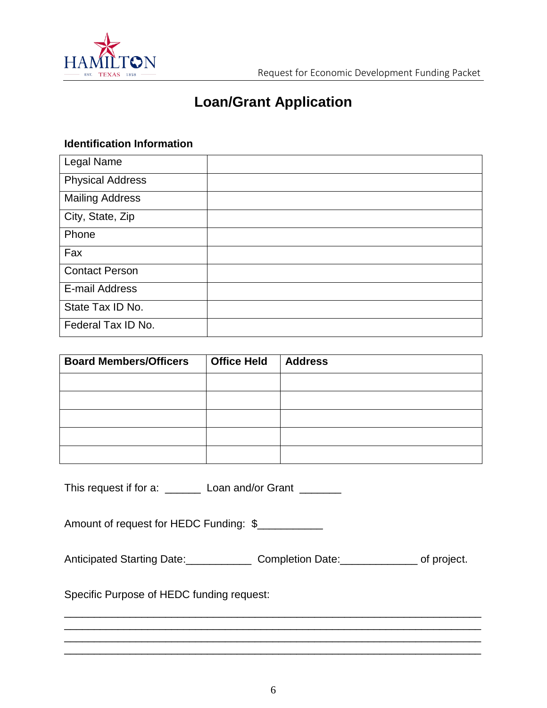

## **Loan/Grant Application**

#### **Identification Information**

| Legal Name              |  |
|-------------------------|--|
| <b>Physical Address</b> |  |
| <b>Mailing Address</b>  |  |
| City, State, Zip        |  |
| Phone                   |  |
| Fax                     |  |
| <b>Contact Person</b>   |  |
| E-mail Address          |  |
| State Tax ID No.        |  |
| Federal Tax ID No.      |  |

| <b>Board Members/Officers</b> | <b>Office Held</b> | <b>Address</b> |
|-------------------------------|--------------------|----------------|
|                               |                    |                |
|                               |                    |                |
|                               |                    |                |
|                               |                    |                |
|                               |                    |                |

This request if for a: \_\_\_\_\_\_\_ Loan and/or Grant \_\_\_\_\_\_\_

Amount of request for HEDC Funding: \$

Anticipated Starting Date:\_\_\_\_\_\_\_\_\_\_\_\_\_\_\_ Completion Date:\_\_\_\_\_\_\_\_\_\_\_\_\_\_\_ of project.

Specific Purpose of HEDC funding request:

\_\_\_\_\_\_\_\_\_\_\_\_\_\_\_\_\_\_\_\_\_\_\_\_\_\_\_\_\_\_\_\_\_\_\_\_\_\_\_\_\_\_\_\_\_\_\_\_\_\_\_\_\_\_\_\_\_\_\_\_\_\_\_\_\_\_\_\_\_\_

\_\_\_\_\_\_\_\_\_\_\_\_\_\_\_\_\_\_\_\_\_\_\_\_\_\_\_\_\_\_\_\_\_\_\_\_\_\_\_\_\_\_\_\_\_\_\_\_\_\_\_\_\_\_\_\_\_\_\_\_\_\_\_\_\_\_\_\_\_\_

\_\_\_\_\_\_\_\_\_\_\_\_\_\_\_\_\_\_\_\_\_\_\_\_\_\_\_\_\_\_\_\_\_\_\_\_\_\_\_\_\_\_\_\_\_\_\_\_\_\_\_\_\_\_\_\_\_\_\_\_\_\_\_\_\_\_\_\_\_\_

\_\_\_\_\_\_\_\_\_\_\_\_\_\_\_\_\_\_\_\_\_\_\_\_\_\_\_\_\_\_\_\_\_\_\_\_\_\_\_\_\_\_\_\_\_\_\_\_\_\_\_\_\_\_\_\_\_\_\_\_\_\_\_\_\_\_\_\_\_\_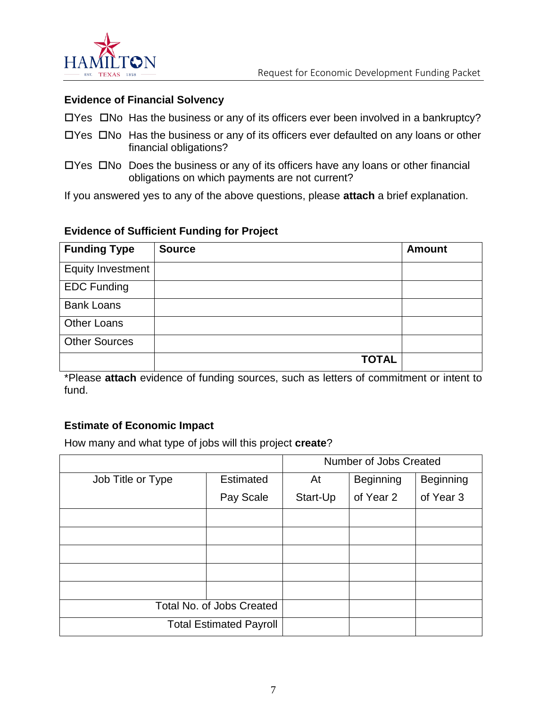

#### **Evidence of Financial Solvency**

- $\Box$  Yes  $\Box$  No Has the business or any of its officers ever been involved in a bankruptcy?
- $\Box$  Yes  $\Box$  No Has the business or any of its officers ever defaulted on any loans or other financial obligations?
- $\Box$  Yes  $\Box$  No Does the business or any of its officers have any loans or other financial obligations on which payments are not current?

If you answered yes to any of the above questions, please **attach** a brief explanation.

#### **Evidence of Sufficient Funding for Project**

| <b>Funding Type</b>      | <b>Source</b> | <b>Amount</b> |
|--------------------------|---------------|---------------|
| <b>Equity Investment</b> |               |               |
| <b>EDC Funding</b>       |               |               |
| <b>Bank Loans</b>        |               |               |
| <b>Other Loans</b>       |               |               |
| <b>Other Sources</b>     |               |               |
|                          | <b>TOTAL</b>  |               |

\*Please **attach** evidence of funding sources, such as letters of commitment or intent to fund.

#### **Estimate of Economic Impact**

How many and what type of jobs will this project **create**?

|                                |                  | Number of Jobs Created |                  |                  |
|--------------------------------|------------------|------------------------|------------------|------------------|
| Job Title or Type              | <b>Estimated</b> | At                     | <b>Beginning</b> | <b>Beginning</b> |
|                                | Pay Scale        | Start-Up               | of Year 2        | of Year 3        |
|                                |                  |                        |                  |                  |
|                                |                  |                        |                  |                  |
|                                |                  |                        |                  |                  |
|                                |                  |                        |                  |                  |
|                                |                  |                        |                  |                  |
| Total No. of Jobs Created      |                  |                        |                  |                  |
| <b>Total Estimated Payroll</b> |                  |                        |                  |                  |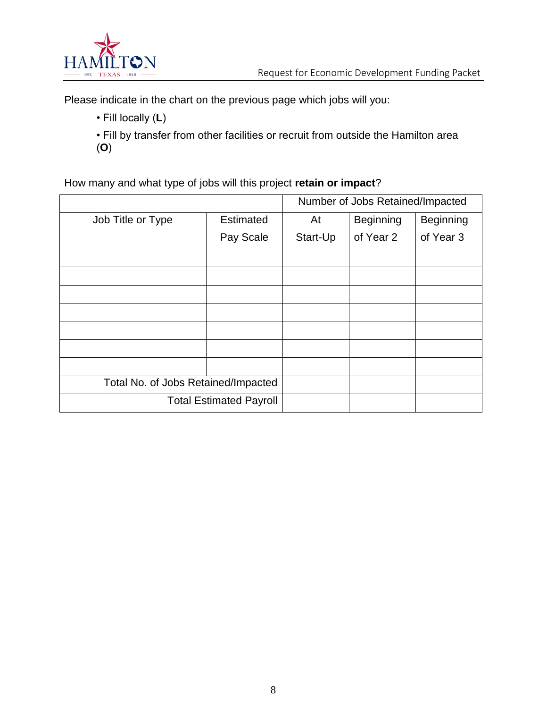

Please indicate in the chart on the previous page which jobs will you:

• Fill locally (**L**)

• Fill by transfer from other facilities or recruit from outside the Hamilton area (**O**)

#### How many and what type of jobs will this project **retain or impact**?

|                                     |                  | Number of Jobs Retained/Impacted |                  |                  |
|-------------------------------------|------------------|----------------------------------|------------------|------------------|
| Job Title or Type                   | <b>Estimated</b> | At                               | <b>Beginning</b> | <b>Beginning</b> |
|                                     | Pay Scale        | Start-Up                         | of Year 2        | of Year 3        |
|                                     |                  |                                  |                  |                  |
|                                     |                  |                                  |                  |                  |
|                                     |                  |                                  |                  |                  |
|                                     |                  |                                  |                  |                  |
|                                     |                  |                                  |                  |                  |
|                                     |                  |                                  |                  |                  |
|                                     |                  |                                  |                  |                  |
| Total No. of Jobs Retained/Impacted |                  |                                  |                  |                  |
| <b>Total Estimated Payroll</b>      |                  |                                  |                  |                  |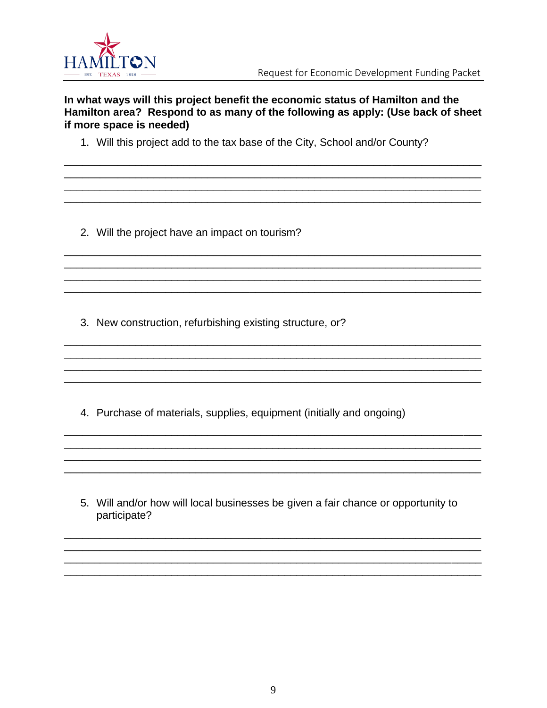

#### In what ways will this project benefit the economic status of Hamilton and the Hamilton area? Respond to as many of the following as apply: (Use back of sheet if more space is needed)

1. Will this project add to the tax base of the City, School and/or County?

2. Will the project have an impact on tourism?

3. New construction, refurbishing existing structure, or?

4. Purchase of materials, supplies, equipment (initially and ongoing)

5. Will and/or how will local businesses be given a fair chance or opportunity to participate?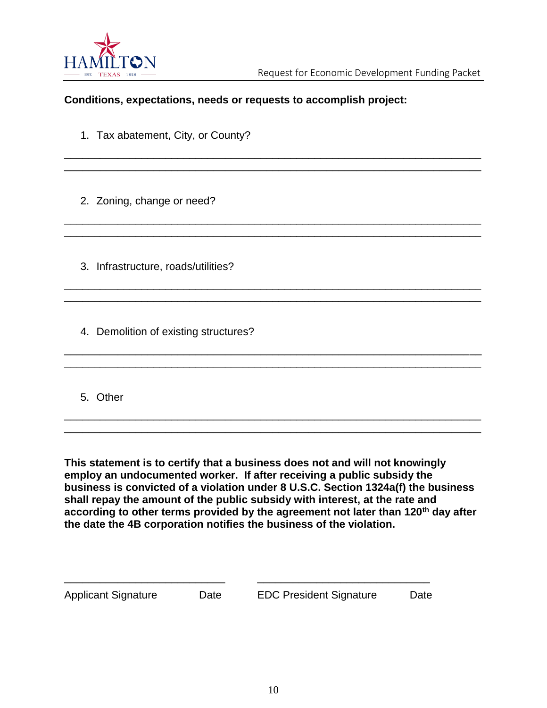

#### **Conditions, expectations, needs or requests to accomplish project:**

\_\_\_\_\_\_\_\_\_\_\_\_\_\_\_\_\_\_\_\_\_\_\_\_\_\_\_\_\_\_\_\_\_\_\_\_\_\_\_\_\_\_\_\_\_\_\_\_\_\_\_\_\_\_\_\_\_\_\_\_\_\_\_\_\_\_\_\_\_\_ \_\_\_\_\_\_\_\_\_\_\_\_\_\_\_\_\_\_\_\_\_\_\_\_\_\_\_\_\_\_\_\_\_\_\_\_\_\_\_\_\_\_\_\_\_\_\_\_\_\_\_\_\_\_\_\_\_\_\_\_\_\_\_\_\_\_\_\_\_\_

\_\_\_\_\_\_\_\_\_\_\_\_\_\_\_\_\_\_\_\_\_\_\_\_\_\_\_\_\_\_\_\_\_\_\_\_\_\_\_\_\_\_\_\_\_\_\_\_\_\_\_\_\_\_\_\_\_\_\_\_\_\_\_\_\_\_\_\_\_\_ \_\_\_\_\_\_\_\_\_\_\_\_\_\_\_\_\_\_\_\_\_\_\_\_\_\_\_\_\_\_\_\_\_\_\_\_\_\_\_\_\_\_\_\_\_\_\_\_\_\_\_\_\_\_\_\_\_\_\_\_\_\_\_\_\_\_\_\_\_\_

\_\_\_\_\_\_\_\_\_\_\_\_\_\_\_\_\_\_\_\_\_\_\_\_\_\_\_\_\_\_\_\_\_\_\_\_\_\_\_\_\_\_\_\_\_\_\_\_\_\_\_\_\_\_\_\_\_\_\_\_\_\_\_\_\_\_\_\_\_\_ \_\_\_\_\_\_\_\_\_\_\_\_\_\_\_\_\_\_\_\_\_\_\_\_\_\_\_\_\_\_\_\_\_\_\_\_\_\_\_\_\_\_\_\_\_\_\_\_\_\_\_\_\_\_\_\_\_\_\_\_\_\_\_\_\_\_\_\_\_\_

\_\_\_\_\_\_\_\_\_\_\_\_\_\_\_\_\_\_\_\_\_\_\_\_\_\_\_\_\_\_\_\_\_\_\_\_\_\_\_\_\_\_\_\_\_\_\_\_\_\_\_\_\_\_\_\_\_\_\_\_\_\_\_\_\_\_\_\_\_\_ \_\_\_\_\_\_\_\_\_\_\_\_\_\_\_\_\_\_\_\_\_\_\_\_\_\_\_\_\_\_\_\_\_\_\_\_\_\_\_\_\_\_\_\_\_\_\_\_\_\_\_\_\_\_\_\_\_\_\_\_\_\_\_\_\_\_\_\_\_\_

\_\_\_\_\_\_\_\_\_\_\_\_\_\_\_\_\_\_\_\_\_\_\_\_\_\_\_\_\_\_\_\_\_\_\_\_\_\_\_\_\_\_\_\_\_\_\_\_\_\_\_\_\_\_\_\_\_\_\_\_\_\_\_\_\_\_\_\_\_\_ \_\_\_\_\_\_\_\_\_\_\_\_\_\_\_\_\_\_\_\_\_\_\_\_\_\_\_\_\_\_\_\_\_\_\_\_\_\_\_\_\_\_\_\_\_\_\_\_\_\_\_\_\_\_\_\_\_\_\_\_\_\_\_\_\_\_\_\_\_\_

1. Tax abatement, City, or County?

2. Zoning, change or need?

3. Infrastructure, roads/utilities?

4. Demolition of existing structures?

#### 5. Other

**This statement is to certify that a business does not and will not knowingly employ an undocumented worker. If after receiving a public subsidy the business is convicted of a violation under 8 U.S.C. Section 1324a(f) the business shall repay the amount of the public subsidy with interest, at the rate and according to other terms provided by the agreement not later than 120th day after the date the 4B corporation notifies the business of the violation.**

| <b>Applicant Signature</b> | Date | <b>EDC President Signature</b> | Date |
|----------------------------|------|--------------------------------|------|